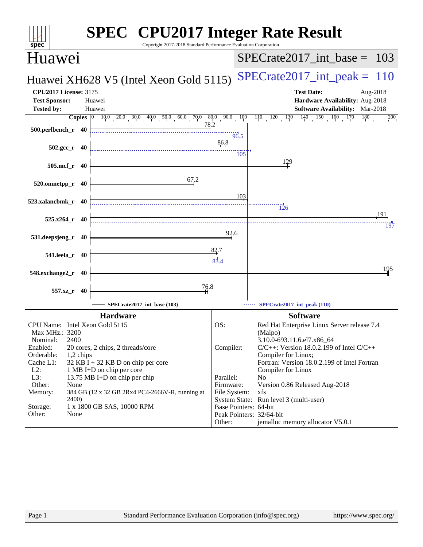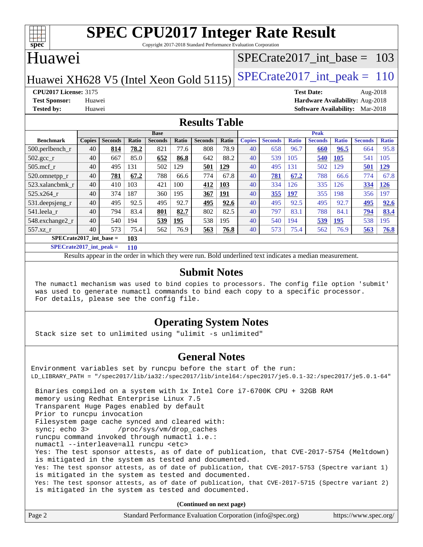

Copyright 2017-2018 Standard Performance Evaluation Corporation

## Huawei

### [SPECrate2017\\_int\\_base =](http://www.spec.org/auto/cpu2017/Docs/result-fields.html#SPECrate2017intbase) 103

## Huawei XH628 V5 (Intel Xeon Gold 5115) SPECrate  $2017$  int peak = 110

**[CPU2017 License:](http://www.spec.org/auto/cpu2017/Docs/result-fields.html#CPU2017License)** 3175 **[Test Date:](http://www.spec.org/auto/cpu2017/Docs/result-fields.html#TestDate)** Aug-2018 **[Test Sponsor:](http://www.spec.org/auto/cpu2017/Docs/result-fields.html#TestSponsor)** Huawei **[Hardware Availability:](http://www.spec.org/auto/cpu2017/Docs/result-fields.html#HardwareAvailability)** Aug-2018 **[Tested by:](http://www.spec.org/auto/cpu2017/Docs/result-fields.html#Testedby)** Huawei **[Software Availability:](http://www.spec.org/auto/cpu2017/Docs/result-fields.html#SoftwareAvailability)** Mar-2018

### **[Results Table](http://www.spec.org/auto/cpu2017/Docs/result-fields.html#ResultsTable)**

|                           | <b>Base</b>   |                |       |                | <b>Peak</b>  |                |              |               |                |              |                |              |                |              |
|---------------------------|---------------|----------------|-------|----------------|--------------|----------------|--------------|---------------|----------------|--------------|----------------|--------------|----------------|--------------|
| <b>Benchmark</b>          | <b>Copies</b> | <b>Seconds</b> | Ratio | <b>Seconds</b> | <b>Ratio</b> | <b>Seconds</b> | <b>Ratio</b> | <b>Copies</b> | <b>Seconds</b> | <b>Ratio</b> | <b>Seconds</b> | <b>Ratio</b> | <b>Seconds</b> | <b>Ratio</b> |
| $500$ .perlbench r        | 40            | 814            | 78.2  | 821            | 77.6         | 808            | 78.9         | 40            | 658            | 96.7         | 660            | 96.5         | 664            | 95.8         |
| 502.gcc_r                 | 40            | 667            | 85.0  | 652            | 86.8         | 642            | 88.2         | 40            | 539            | 105          | 540            | 105          | 541            | 105          |
| $505$ .mcf r              | 40            | 495            | 131   | 502            | 129          | 501            | 129          | 40            | 495            | 131          | 502            | 129          | 501            | <u>129</u>   |
| 520.omnetpp_r             | 40            | 781            | 67.2  | 788            | 66.6         | 774            | 67.8         | 40            | <b>781</b>     | 67.2         | 788            | 66.6         | 774            | 67.8         |
| 523.xalancbmk r           | 40            | 410            | 103   | 421            | 100          | 412            | 103          | 40            | 334            | 126          | 335            | 126          | 334            | 126          |
| 525.x264 r                | 40            | 374            | 187   | 360            | 195          | 367            | 191          | 40            | 355            | 197          | 355            | 198          | 356            | 197          |
| 531.deepsjeng_r           | 40            | 495            | 92.5  | 495            | 92.7         | 495            | 92.6         | 40            | 495            | 92.5         | 495            | 92.7         | 495            | 92.6         |
| 541.leela r               | 40            | 794            | 83.4  | 801            | 82.7         | 802            | 82.5         | 40            | 797            | 83.1         | 788            | 84.1         | 794            | 83.4         |
| 548.exchange2_r           | 40            | 540            | 194   | 539            | 195          | 538            | 195          | 40            | 540            | 194          | 539            | 195          | 538            | 195          |
| $557.xz$ _r               | 40            | 573            | 75.4  | 562            | 76.9         | 563            | 76.8         | 40            | 573            | 75.4         | 562            | 76.9         | 563            | 76.8         |
| $SPECrate2017$ int base = |               |                | 103   |                |              |                |              |               |                |              |                |              |                |              |

**[SPECrate2017\\_int\\_peak =](http://www.spec.org/auto/cpu2017/Docs/result-fields.html#SPECrate2017intpeak) 110**

Results appear in the [order in which they were run.](http://www.spec.org/auto/cpu2017/Docs/result-fields.html#RunOrder) Bold underlined text [indicates a median measurement.](http://www.spec.org/auto/cpu2017/Docs/result-fields.html#Median)

### **[Submit Notes](http://www.spec.org/auto/cpu2017/Docs/result-fields.html#SubmitNotes)**

 The numactl mechanism was used to bind copies to processors. The config file option 'submit' was used to generate numactl commands to bind each copy to a specific processor. For details, please see the config file.

### **[Operating System Notes](http://www.spec.org/auto/cpu2017/Docs/result-fields.html#OperatingSystemNotes)**

Stack size set to unlimited using "ulimit -s unlimited"

### **[General Notes](http://www.spec.org/auto/cpu2017/Docs/result-fields.html#GeneralNotes)**

Environment variables set by runcpu before the start of the run: LD\_LIBRARY\_PATH = "/spec2017/lib/ia32:/spec2017/lib/intel64:/spec2017/je5.0.1-32:/spec2017/je5.0.1-64" Binaries compiled on a system with 1x Intel Core i7-6700K CPU + 32GB RAM memory using Redhat Enterprise Linux 7.5 Transparent Huge Pages enabled by default Prior to runcpu invocation Filesystem page cache synced and cleared with: sync; echo 3> /proc/sys/vm/drop\_caches runcpu command invoked through numactl i.e.: numactl --interleave=all runcpu <etc> Yes: The test sponsor attests, as of date of publication, that CVE-2017-5754 (Meltdown) is mitigated in the system as tested and documented. Yes: The test sponsor attests, as of date of publication, that CVE-2017-5753 (Spectre variant 1) is mitigated in the system as tested and documented. Yes: The test sponsor attests, as of date of publication, that CVE-2017-5715 (Spectre variant 2) is mitigated in the system as tested and documented.

**(Continued on next page)**

| Page 2 | Standard Performance Evaluation Corporation (info@spec.org) | https://www.spec.org/ |
|--------|-------------------------------------------------------------|-----------------------|
|--------|-------------------------------------------------------------|-----------------------|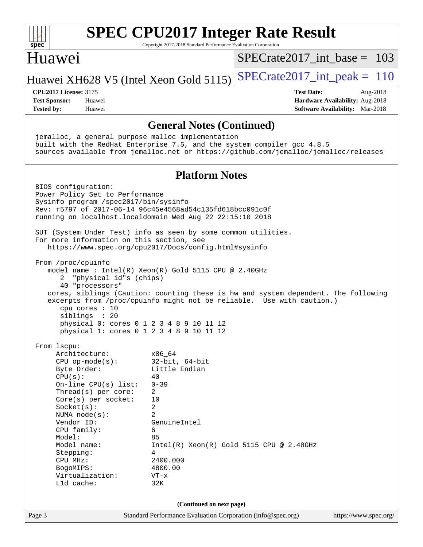| spec                                                                                                                                                                                                                                                                                                                                                                                                                      | <b>SPEC CPU2017 Integer Rate Result</b><br>Copyright 2017-2018 Standard Performance Evaluation Corporation                                                                                                     |                                                                                                     |
|---------------------------------------------------------------------------------------------------------------------------------------------------------------------------------------------------------------------------------------------------------------------------------------------------------------------------------------------------------------------------------------------------------------------------|----------------------------------------------------------------------------------------------------------------------------------------------------------------------------------------------------------------|-----------------------------------------------------------------------------------------------------|
| Huawei                                                                                                                                                                                                                                                                                                                                                                                                                    |                                                                                                                                                                                                                | $SPECrate2017$ int base = 103                                                                       |
| Huawei XH628 V5 (Intel Xeon Gold 5115)                                                                                                                                                                                                                                                                                                                                                                                    |                                                                                                                                                                                                                | $SPECrate2017\_int\_peak = 110$                                                                     |
| <b>CPU2017 License: 3175</b><br><b>Test Sponsor:</b><br>Huawei<br><b>Tested by:</b><br>Huawei                                                                                                                                                                                                                                                                                                                             |                                                                                                                                                                                                                | <b>Test Date:</b><br>Aug-2018<br>Hardware Availability: Aug-2018<br>Software Availability: Mar-2018 |
|                                                                                                                                                                                                                                                                                                                                                                                                                           | <b>General Notes (Continued)</b>                                                                                                                                                                               |                                                                                                     |
| jemalloc, a general purpose malloc implementation<br>built with the RedHat Enterprise 7.5, and the system compiler gcc 4.8.5<br>sources available from jemalloc.net or https://github.com/jemalloc/jemalloc/releases                                                                                                                                                                                                      |                                                                                                                                                                                                                |                                                                                                     |
|                                                                                                                                                                                                                                                                                                                                                                                                                           | <b>Platform Notes</b>                                                                                                                                                                                          |                                                                                                     |
| BIOS configuration:<br>Power Policy Set to Performance<br>Sysinfo program /spec2017/bin/sysinfo<br>Rev: r5797 of 2017-06-14 96c45e4568ad54c135fd618bcc091c0f<br>running on localhost.localdomain Wed Aug 22 22:15:10 2018<br>SUT (System Under Test) info as seen by some common utilities.<br>For more information on this section, see<br>https://www.spec.org/cpu2017/Docs/config.html#sysinfo                         |                                                                                                                                                                                                                |                                                                                                     |
| From /proc/cpuinfo<br>model name : Intel(R) Xeon(R) Gold 5115 CPU @ 2.40GHz<br>"physical id"s (chips)<br>2<br>40 "processors"<br>cores, siblings (Caution: counting these is hw and system dependent. The following<br>excerpts from /proc/cpuinfo might not be reliable. Use with caution.)<br>cpu cores $: 10$<br>siblings : 20<br>physical 0: cores 0 1 2 3 4 8 9 10 11 12<br>physical 1: cores 0 1 2 3 4 8 9 10 11 12 |                                                                                                                                                                                                                |                                                                                                     |
| From 1scpu:<br>Architecture:<br>$CPU$ op-mode( $s$ ):<br>Byte Order:<br>CPU(s):<br>On-line CPU(s) list:<br>Thread( $s$ ) per core:<br>$Core(s)$ per socket:<br>Socket(s):<br>NUMA node(s):<br>Vendor ID:<br>CPU family:<br>Model:<br>Model name:<br>Stepping:<br>CPU MHz:<br>BogoMIPS:<br>Virtualization:<br>L1d cache:                                                                                                   | x86 64<br>$32$ -bit, $64$ -bit<br>Little Endian<br>40<br>$0 - 39$<br>2<br>10<br>2<br>2<br>GenuineIntel<br>6<br>85<br>$Intel(R) Xeon(R) Gold 5115 CPU @ 2.40GHz$<br>4<br>2400.000<br>4800.00<br>$VT - x$<br>32K |                                                                                                     |
|                                                                                                                                                                                                                                                                                                                                                                                                                           | (Continued on next page)                                                                                                                                                                                       |                                                                                                     |
| Page 3                                                                                                                                                                                                                                                                                                                                                                                                                    | Standard Performance Evaluation Corporation (info@spec.org)                                                                                                                                                    | https://www.spec.org/                                                                               |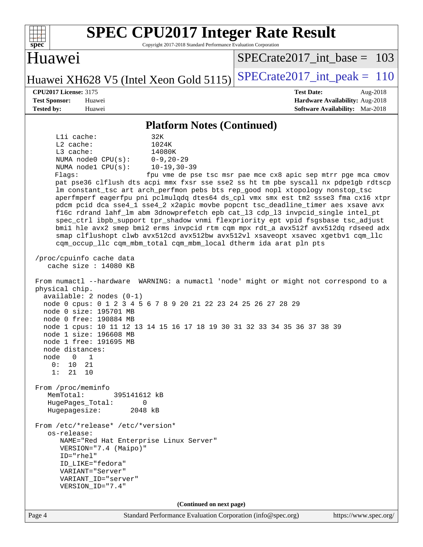| <b>SPEC CPU2017 Integer Rate Result</b><br>Copyright 2017-2018 Standard Performance Evaluation Corporation<br>spec <sup>®</sup>                                                                                                                                                                                                                                                                                                                                                                                                                                                                                                                                                                                                                                                                                                                                                                                                              |                                                                                                            |
|----------------------------------------------------------------------------------------------------------------------------------------------------------------------------------------------------------------------------------------------------------------------------------------------------------------------------------------------------------------------------------------------------------------------------------------------------------------------------------------------------------------------------------------------------------------------------------------------------------------------------------------------------------------------------------------------------------------------------------------------------------------------------------------------------------------------------------------------------------------------------------------------------------------------------------------------|------------------------------------------------------------------------------------------------------------|
| Huawei                                                                                                                                                                                                                                                                                                                                                                                                                                                                                                                                                                                                                                                                                                                                                                                                                                                                                                                                       | $SPECrate2017$ int base = 103                                                                              |
| Huawei XH628 V5 (Intel Xeon Gold 5115)                                                                                                                                                                                                                                                                                                                                                                                                                                                                                                                                                                                                                                                                                                                                                                                                                                                                                                       | $SPECrate2017\_int\_peak = 110$                                                                            |
| <b>CPU2017 License: 3175</b><br><b>Test Sponsor:</b><br>Huawei<br><b>Tested by:</b><br>Huawei                                                                                                                                                                                                                                                                                                                                                                                                                                                                                                                                                                                                                                                                                                                                                                                                                                                | <b>Test Date:</b><br>Aug-2018<br>Hardware Availability: Aug-2018<br><b>Software Availability:</b> Mar-2018 |
| <b>Platform Notes (Continued)</b>                                                                                                                                                                                                                                                                                                                                                                                                                                                                                                                                                                                                                                                                                                                                                                                                                                                                                                            |                                                                                                            |
| Lli cache:<br>32K<br>$L2$ cache:<br>1024K<br>L3 cache:<br>14080K<br>$0 - 9, 20 - 29$<br>NUMA $node0$ $CPU(s):$<br>$10 - 19, 30 - 39$<br>NUMA nodel CPU(s):<br>Flags:<br>pat pse36 clflush dts acpi mmx fxsr sse sse2 ss ht tm pbe syscall nx pdpelgb rdtscp<br>lm constant_tsc art arch_perfmon pebs bts rep_good nopl xtopology nonstop_tsc<br>aperfmperf eagerfpu pni pclmulqdq dtes64 ds_cpl vmx smx est tm2 ssse3 fma cx16 xtpr<br>pdcm pcid dca sse4_1 sse4_2 x2apic movbe popcnt tsc_deadline_timer aes xsave avx<br>f16c rdrand lahf_lm abm 3dnowprefetch epb cat_13 cdp_13 invpcid_single intel_pt<br>spec_ctrl ibpb_support tpr_shadow vnmi flexpriority ept vpid fsgsbase tsc_adjust<br>bmil hle avx2 smep bmi2 erms invpcid rtm cqm mpx rdt_a avx512f avx512dq rdseed adx<br>smap clflushopt clwb avx512cd avx512bw avx512vl xsaveopt xsavec xgetbvl cqm_llc<br>cqm_occup_llc cqm_mbm_total cqm_mbm_local dtherm ida arat pln pts | fpu vme de pse tsc msr pae mce cx8 apic sep mtrr pge mca cmov                                              |
| /proc/cpuinfo cache data<br>cache size : 14080 KB                                                                                                                                                                                                                                                                                                                                                                                                                                                                                                                                                                                                                                                                                                                                                                                                                                                                                            |                                                                                                            |
| From numactl --hardware WARNING: a numactl 'node' might or might not correspond to a<br>physical chip.<br>$available: 2 nodes (0-1)$<br>node 0 cpus: 0 1 2 3 4 5 6 7 8 9 20 21 22 23 24 25 26 27 28 29<br>node 0 size: 195701 MB<br>node 0 free: 190884 MB<br>node 1 cpus: 10 11 12 13 14 15 16 17 18 19 30 31 32 33 34 35 36 37 38 39<br>node 1 size: 196608 MB<br>node 1 free: 191695 MB<br>node distances:<br>$\overline{0}$<br>node<br>1<br>0 :<br>10<br>21<br>1:<br>21<br>10                                                                                                                                                                                                                                                                                                                                                                                                                                                            |                                                                                                            |
| From /proc/meminfo<br>MemTotal:<br>395141612 kB<br>HugePages_Total:<br>0<br>Hugepagesize:<br>2048 kB                                                                                                                                                                                                                                                                                                                                                                                                                                                                                                                                                                                                                                                                                                                                                                                                                                         |                                                                                                            |
| From /etc/*release* /etc/*version*<br>os-release:<br>NAME="Red Hat Enterprise Linux Server"<br>VERSION="7.4 (Maipo)"<br>$ID="rhe1"$<br>ID_LIKE="fedora"<br>VARIANT="Server"<br>VARIANT_ID="server"<br>VERSION_ID="7.4"                                                                                                                                                                                                                                                                                                                                                                                                                                                                                                                                                                                                                                                                                                                       |                                                                                                            |
| (Continued on next page)                                                                                                                                                                                                                                                                                                                                                                                                                                                                                                                                                                                                                                                                                                                                                                                                                                                                                                                     |                                                                                                            |
| Standard Performance Evaluation Corporation (info@spec.org)<br>Page 4                                                                                                                                                                                                                                                                                                                                                                                                                                                                                                                                                                                                                                                                                                                                                                                                                                                                        | https://www.spec.org/                                                                                      |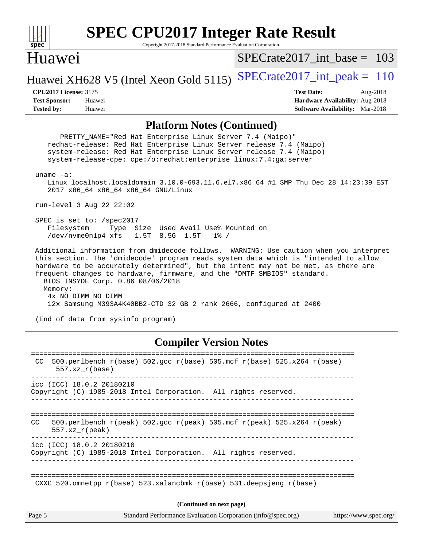

Copyright 2017-2018 Standard Performance Evaluation Corporation

### Huawei

[SPECrate2017\\_int\\_base =](http://www.spec.org/auto/cpu2017/Docs/result-fields.html#SPECrate2017intbase) 103

### Huawei XH628 V5 (Intel Xeon Gold 5115) SPECrate  $2017$ \_int\_peak = 110

**[Tested by:](http://www.spec.org/auto/cpu2017/Docs/result-fields.html#Testedby)** Huawei **[Software Availability:](http://www.spec.org/auto/cpu2017/Docs/result-fields.html#SoftwareAvailability)** Mar-2018

**[CPU2017 License:](http://www.spec.org/auto/cpu2017/Docs/result-fields.html#CPU2017License)** 3175 **[Test Date:](http://www.spec.org/auto/cpu2017/Docs/result-fields.html#TestDate)** Aug-2018 **[Test Sponsor:](http://www.spec.org/auto/cpu2017/Docs/result-fields.html#TestSponsor)** Huawei **[Hardware Availability:](http://www.spec.org/auto/cpu2017/Docs/result-fields.html#HardwareAvailability)** Aug-2018

### **[Platform Notes \(Continued\)](http://www.spec.org/auto/cpu2017/Docs/result-fields.html#PlatformNotes)**

 PRETTY\_NAME="Red Hat Enterprise Linux Server 7.4 (Maipo)" redhat-release: Red Hat Enterprise Linux Server release 7.4 (Maipo) system-release: Red Hat Enterprise Linux Server release 7.4 (Maipo) system-release-cpe: cpe:/o:redhat:enterprise\_linux:7.4:ga:server uname -a: Linux localhost.localdomain 3.10.0-693.11.6.el7.x86\_64 #1 SMP Thu Dec 28 14:23:39 EST 2017 x86\_64 x86\_64 x86\_64 GNU/Linux run-level 3 Aug 22 22:02 SPEC is set to: /spec2017 Filesystem Type Size Used Avail Use% Mounted on /dev/nvme0n1p4 xfs 1.5T 8.5G 1.5T 1% / Additional information from dmidecode follows. WARNING: Use caution when you interpret this section. The 'dmidecode' program reads system data which is "intended to allow hardware to be accurately determined", but the intent may not be met, as there are frequent changes to hardware, firmware, and the "DMTF SMBIOS" standard. BIOS INSYDE Corp. 0.86 08/06/2018 Memory: 4x NO DIMM NO DIMM 12x Samsung M393A4K40BB2-CTD 32 GB 2 rank 2666, configured at 2400 (End of data from sysinfo program)

### **[Compiler Version Notes](http://www.spec.org/auto/cpu2017/Docs/result-fields.html#CompilerVersionNotes)**

| Page 5 |                           | Standard Performance Evaluation Corporation (info@spec.org)                | https://www.spec.org/ |
|--------|---------------------------|----------------------------------------------------------------------------|-----------------------|
|        |                           | (Continued on next page)                                                   |                       |
|        |                           | CXXC 520.omnetpp $r(base)$ 523.xalancbmk $r(base)$ 531.deepsjeng $r(base)$ |                       |
|        | icc (ICC) 18.0.2 20180210 | Copyright (C) 1985-2018 Intel Corporation. All rights reserved.            |                       |
| CC.    | $557.xx$ r(peak)          | 500.perlbench r(peak) 502.qcc r(peak) 505.mcf r(peak) 525.x264 r(peak)     |                       |
|        | icc (ICC) 18.0.2 20180210 | Copyright (C) 1985-2018 Intel Corporation. All rights reserved.            |                       |
| CC.    | $557.xx$ $r(base)$        | 500.perlbench_r(base) 502.gcc_r(base) 505.mcf_r(base) 525.x264_r(base)     |                       |
|        |                           |                                                                            |                       |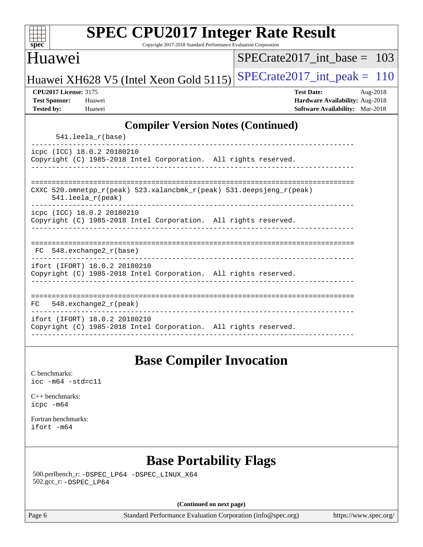| spec <sup>®</sup>                                                         | <b>SPEC CPU2017 Integer Rate Result</b>                                                          | Copyright 2017-2018 Standard Performance Evaluation Corporation |                                 |                   |  |                                                                    |          |
|---------------------------------------------------------------------------|--------------------------------------------------------------------------------------------------|-----------------------------------------------------------------|---------------------------------|-------------------|--|--------------------------------------------------------------------|----------|
| Huawei                                                                    |                                                                                                  | $SPECrate2017$ int base =                                       |                                 |                   |  |                                                                    |          |
|                                                                           | Huawei XH628 V5 (Intel Xeon Gold 5115)                                                           |                                                                 | $SPECrate2017\_int\_peak = 110$ |                   |  |                                                                    |          |
| <b>CPU2017 License: 3175</b><br><b>Test Sponsor:</b><br><b>Tested by:</b> | Huawei<br>Huawei                                                                                 |                                                                 |                                 | <b>Test Date:</b> |  | Hardware Availability: Aug-2018<br>Software Availability: Mar-2018 | Aug-2018 |
|                                                                           |                                                                                                  | <b>Compiler Version Notes (Continued)</b>                       |                                 |                   |  |                                                                    |          |
|                                                                           | 541.leela_r(base)                                                                                |                                                                 |                                 | ------------      |  |                                                                    |          |
|                                                                           | icpc (ICC) 18.0.2 20180210<br>Copyright (C) 1985-2018 Intel Corporation. All rights reserved.    |                                                                 |                                 |                   |  |                                                                    |          |
|                                                                           | CXXC 520.omnetpp_r(peak) 523.xalancbmk_r(peak) 531.deepsjeng_r(peak)<br>541.leela_r(peak)        |                                                                 |                                 |                   |  |                                                                    |          |
|                                                                           | icpc (ICC) 18.0.2 20180210<br>Copyright (C) 1985-2018 Intel Corporation. All rights reserved.    |                                                                 |                                 |                   |  |                                                                    |          |
| FC.                                                                       | 548.exchange2 r(base)                                                                            |                                                                 |                                 |                   |  |                                                                    |          |
|                                                                           | ifort (IFORT) 18.0.2 20180210<br>Copyright (C) 1985-2018 Intel Corporation. All rights reserved. |                                                                 |                                 |                   |  |                                                                    |          |
| FC.                                                                       | $548$ . exchange $2r$ (peak)                                                                     |                                                                 |                                 |                   |  |                                                                    |          |
|                                                                           | ifort (IFORT) 18.0.2 20180210                                                                    |                                                                 |                                 |                   |  |                                                                    |          |

# **[Base Compiler Invocation](http://www.spec.org/auto/cpu2017/Docs/result-fields.html#BaseCompilerInvocation)**

[C benchmarks](http://www.spec.org/auto/cpu2017/Docs/result-fields.html#Cbenchmarks): [icc -m64 -std=c11](http://www.spec.org/cpu2017/results/res2018q4/cpu2017-20181008-09099.flags.html#user_CCbase_intel_icc_64bit_c11_33ee0cdaae7deeeab2a9725423ba97205ce30f63b9926c2519791662299b76a0318f32ddfffdc46587804de3178b4f9328c46fa7c2b0cd779d7a61945c91cd35)

[C++ benchmarks:](http://www.spec.org/auto/cpu2017/Docs/result-fields.html#CXXbenchmarks) [icpc -m64](http://www.spec.org/cpu2017/results/res2018q4/cpu2017-20181008-09099.flags.html#user_CXXbase_intel_icpc_64bit_4ecb2543ae3f1412ef961e0650ca070fec7b7afdcd6ed48761b84423119d1bf6bdf5cad15b44d48e7256388bc77273b966e5eb805aefd121eb22e9299b2ec9d9)

[Fortran benchmarks](http://www.spec.org/auto/cpu2017/Docs/result-fields.html#Fortranbenchmarks): [ifort -m64](http://www.spec.org/cpu2017/results/res2018q4/cpu2017-20181008-09099.flags.html#user_FCbase_intel_ifort_64bit_24f2bb282fbaeffd6157abe4f878425411749daecae9a33200eee2bee2fe76f3b89351d69a8130dd5949958ce389cf37ff59a95e7a40d588e8d3a57e0c3fd751)

# **[Base Portability Flags](http://www.spec.org/auto/cpu2017/Docs/result-fields.html#BasePortabilityFlags)**

 500.perlbench\_r: [-DSPEC\\_LP64](http://www.spec.org/cpu2017/results/res2018q4/cpu2017-20181008-09099.flags.html#b500.perlbench_r_basePORTABILITY_DSPEC_LP64) [-DSPEC\\_LINUX\\_X64](http://www.spec.org/cpu2017/results/res2018q4/cpu2017-20181008-09099.flags.html#b500.perlbench_r_baseCPORTABILITY_DSPEC_LINUX_X64) 502.gcc\_r: [-DSPEC\\_LP64](http://www.spec.org/cpu2017/results/res2018q4/cpu2017-20181008-09099.flags.html#suite_basePORTABILITY502_gcc_r_DSPEC_LP64)

**(Continued on next page)**

Page 6 Standard Performance Evaluation Corporation [\(info@spec.org\)](mailto:info@spec.org) <https://www.spec.org/>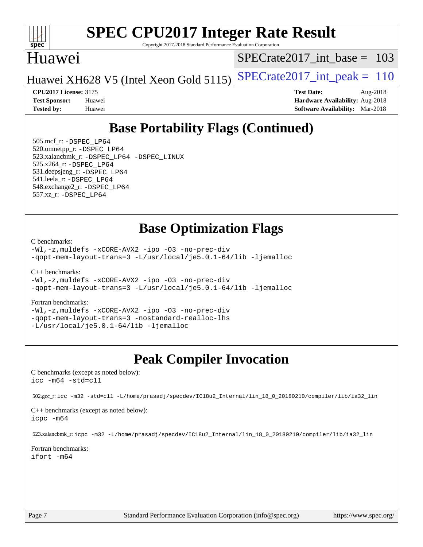

Copyright 2017-2018 Standard Performance Evaluation Corporation

# Huawei

[SPECrate2017\\_int\\_base =](http://www.spec.org/auto/cpu2017/Docs/result-fields.html#SPECrate2017intbase) 103

Huawei XH628 V5 (Intel Xeon Gold 5115) SPECrate  $2017$  int peak = 110

**[Tested by:](http://www.spec.org/auto/cpu2017/Docs/result-fields.html#Testedby)** Huawei **[Software Availability:](http://www.spec.org/auto/cpu2017/Docs/result-fields.html#SoftwareAvailability)** Mar-2018

**[CPU2017 License:](http://www.spec.org/auto/cpu2017/Docs/result-fields.html#CPU2017License)** 3175 **[Test Date:](http://www.spec.org/auto/cpu2017/Docs/result-fields.html#TestDate)** Aug-2018 **[Test Sponsor:](http://www.spec.org/auto/cpu2017/Docs/result-fields.html#TestSponsor)** Huawei **[Hardware Availability:](http://www.spec.org/auto/cpu2017/Docs/result-fields.html#HardwareAvailability)** Aug-2018

# **[Base Portability Flags \(Continued\)](http://www.spec.org/auto/cpu2017/Docs/result-fields.html#BasePortabilityFlags)**

 505.mcf\_r: [-DSPEC\\_LP64](http://www.spec.org/cpu2017/results/res2018q4/cpu2017-20181008-09099.flags.html#suite_basePORTABILITY505_mcf_r_DSPEC_LP64) 520.omnetpp\_r: [-DSPEC\\_LP64](http://www.spec.org/cpu2017/results/res2018q4/cpu2017-20181008-09099.flags.html#suite_basePORTABILITY520_omnetpp_r_DSPEC_LP64) 523.xalancbmk\_r: [-DSPEC\\_LP64](http://www.spec.org/cpu2017/results/res2018q4/cpu2017-20181008-09099.flags.html#suite_basePORTABILITY523_xalancbmk_r_DSPEC_LP64) [-DSPEC\\_LINUX](http://www.spec.org/cpu2017/results/res2018q4/cpu2017-20181008-09099.flags.html#b523.xalancbmk_r_baseCXXPORTABILITY_DSPEC_LINUX) 525.x264\_r: [-DSPEC\\_LP64](http://www.spec.org/cpu2017/results/res2018q4/cpu2017-20181008-09099.flags.html#suite_basePORTABILITY525_x264_r_DSPEC_LP64) 531.deepsjeng\_r: [-DSPEC\\_LP64](http://www.spec.org/cpu2017/results/res2018q4/cpu2017-20181008-09099.flags.html#suite_basePORTABILITY531_deepsjeng_r_DSPEC_LP64) 541.leela\_r: [-DSPEC\\_LP64](http://www.spec.org/cpu2017/results/res2018q4/cpu2017-20181008-09099.flags.html#suite_basePORTABILITY541_leela_r_DSPEC_LP64) 548.exchange2\_r: [-DSPEC\\_LP64](http://www.spec.org/cpu2017/results/res2018q4/cpu2017-20181008-09099.flags.html#suite_basePORTABILITY548_exchange2_r_DSPEC_LP64) 557.xz\_r: [-DSPEC\\_LP64](http://www.spec.org/cpu2017/results/res2018q4/cpu2017-20181008-09099.flags.html#suite_basePORTABILITY557_xz_r_DSPEC_LP64)

# **[Base Optimization Flags](http://www.spec.org/auto/cpu2017/Docs/result-fields.html#BaseOptimizationFlags)**

[C benchmarks](http://www.spec.org/auto/cpu2017/Docs/result-fields.html#Cbenchmarks):

[-Wl,-z,muldefs](http://www.spec.org/cpu2017/results/res2018q4/cpu2017-20181008-09099.flags.html#user_CCbase_link_force_multiple1_b4cbdb97b34bdee9ceefcfe54f4c8ea74255f0b02a4b23e853cdb0e18eb4525ac79b5a88067c842dd0ee6996c24547a27a4b99331201badda8798ef8a743f577) [-xCORE-AVX2](http://www.spec.org/cpu2017/results/res2018q4/cpu2017-20181008-09099.flags.html#user_CCbase_f-xCORE-AVX2) [-ipo](http://www.spec.org/cpu2017/results/res2018q4/cpu2017-20181008-09099.flags.html#user_CCbase_f-ipo) [-O3](http://www.spec.org/cpu2017/results/res2018q4/cpu2017-20181008-09099.flags.html#user_CCbase_f-O3) [-no-prec-div](http://www.spec.org/cpu2017/results/res2018q4/cpu2017-20181008-09099.flags.html#user_CCbase_f-no-prec-div) [-qopt-mem-layout-trans=3](http://www.spec.org/cpu2017/results/res2018q4/cpu2017-20181008-09099.flags.html#user_CCbase_f-qopt-mem-layout-trans_de80db37974c74b1f0e20d883f0b675c88c3b01e9d123adea9b28688d64333345fb62bc4a798493513fdb68f60282f9a726aa07f478b2f7113531aecce732043) [-L/usr/local/je5.0.1-64/lib](http://www.spec.org/cpu2017/results/res2018q4/cpu2017-20181008-09099.flags.html#user_CCbase_jemalloc_link_path64_4b10a636b7bce113509b17f3bd0d6226c5fb2346b9178c2d0232c14f04ab830f976640479e5c33dc2bcbbdad86ecfb6634cbbd4418746f06f368b512fced5394) [-ljemalloc](http://www.spec.org/cpu2017/results/res2018q4/cpu2017-20181008-09099.flags.html#user_CCbase_jemalloc_link_lib_d1249b907c500fa1c0672f44f562e3d0f79738ae9e3c4a9c376d49f265a04b9c99b167ecedbf6711b3085be911c67ff61f150a17b3472be731631ba4d0471706)

[C++ benchmarks:](http://www.spec.org/auto/cpu2017/Docs/result-fields.html#CXXbenchmarks)

[-Wl,-z,muldefs](http://www.spec.org/cpu2017/results/res2018q4/cpu2017-20181008-09099.flags.html#user_CXXbase_link_force_multiple1_b4cbdb97b34bdee9ceefcfe54f4c8ea74255f0b02a4b23e853cdb0e18eb4525ac79b5a88067c842dd0ee6996c24547a27a4b99331201badda8798ef8a743f577) [-xCORE-AVX2](http://www.spec.org/cpu2017/results/res2018q4/cpu2017-20181008-09099.flags.html#user_CXXbase_f-xCORE-AVX2) [-ipo](http://www.spec.org/cpu2017/results/res2018q4/cpu2017-20181008-09099.flags.html#user_CXXbase_f-ipo) [-O3](http://www.spec.org/cpu2017/results/res2018q4/cpu2017-20181008-09099.flags.html#user_CXXbase_f-O3) [-no-prec-div](http://www.spec.org/cpu2017/results/res2018q4/cpu2017-20181008-09099.flags.html#user_CXXbase_f-no-prec-div) [-qopt-mem-layout-trans=3](http://www.spec.org/cpu2017/results/res2018q4/cpu2017-20181008-09099.flags.html#user_CXXbase_f-qopt-mem-layout-trans_de80db37974c74b1f0e20d883f0b675c88c3b01e9d123adea9b28688d64333345fb62bc4a798493513fdb68f60282f9a726aa07f478b2f7113531aecce732043) [-L/usr/local/je5.0.1-64/lib](http://www.spec.org/cpu2017/results/res2018q4/cpu2017-20181008-09099.flags.html#user_CXXbase_jemalloc_link_path64_4b10a636b7bce113509b17f3bd0d6226c5fb2346b9178c2d0232c14f04ab830f976640479e5c33dc2bcbbdad86ecfb6634cbbd4418746f06f368b512fced5394) [-ljemalloc](http://www.spec.org/cpu2017/results/res2018q4/cpu2017-20181008-09099.flags.html#user_CXXbase_jemalloc_link_lib_d1249b907c500fa1c0672f44f562e3d0f79738ae9e3c4a9c376d49f265a04b9c99b167ecedbf6711b3085be911c67ff61f150a17b3472be731631ba4d0471706)

#### [Fortran benchmarks](http://www.spec.org/auto/cpu2017/Docs/result-fields.html#Fortranbenchmarks):

[-Wl,-z,muldefs](http://www.spec.org/cpu2017/results/res2018q4/cpu2017-20181008-09099.flags.html#user_FCbase_link_force_multiple1_b4cbdb97b34bdee9ceefcfe54f4c8ea74255f0b02a4b23e853cdb0e18eb4525ac79b5a88067c842dd0ee6996c24547a27a4b99331201badda8798ef8a743f577) [-xCORE-AVX2](http://www.spec.org/cpu2017/results/res2018q4/cpu2017-20181008-09099.flags.html#user_FCbase_f-xCORE-AVX2) [-ipo](http://www.spec.org/cpu2017/results/res2018q4/cpu2017-20181008-09099.flags.html#user_FCbase_f-ipo) [-O3](http://www.spec.org/cpu2017/results/res2018q4/cpu2017-20181008-09099.flags.html#user_FCbase_f-O3) [-no-prec-div](http://www.spec.org/cpu2017/results/res2018q4/cpu2017-20181008-09099.flags.html#user_FCbase_f-no-prec-div) [-qopt-mem-layout-trans=3](http://www.spec.org/cpu2017/results/res2018q4/cpu2017-20181008-09099.flags.html#user_FCbase_f-qopt-mem-layout-trans_de80db37974c74b1f0e20d883f0b675c88c3b01e9d123adea9b28688d64333345fb62bc4a798493513fdb68f60282f9a726aa07f478b2f7113531aecce732043) [-nostandard-realloc-lhs](http://www.spec.org/cpu2017/results/res2018q4/cpu2017-20181008-09099.flags.html#user_FCbase_f_2003_std_realloc_82b4557e90729c0f113870c07e44d33d6f5a304b4f63d4c15d2d0f1fab99f5daaed73bdb9275d9ae411527f28b936061aa8b9c8f2d63842963b95c9dd6426b8a) [-L/usr/local/je5.0.1-64/lib](http://www.spec.org/cpu2017/results/res2018q4/cpu2017-20181008-09099.flags.html#user_FCbase_jemalloc_link_path64_4b10a636b7bce113509b17f3bd0d6226c5fb2346b9178c2d0232c14f04ab830f976640479e5c33dc2bcbbdad86ecfb6634cbbd4418746f06f368b512fced5394) [-ljemalloc](http://www.spec.org/cpu2017/results/res2018q4/cpu2017-20181008-09099.flags.html#user_FCbase_jemalloc_link_lib_d1249b907c500fa1c0672f44f562e3d0f79738ae9e3c4a9c376d49f265a04b9c99b167ecedbf6711b3085be911c67ff61f150a17b3472be731631ba4d0471706)

# **[Peak Compiler Invocation](http://www.spec.org/auto/cpu2017/Docs/result-fields.html#PeakCompilerInvocation)**

[C benchmarks \(except as noted below\)](http://www.spec.org/auto/cpu2017/Docs/result-fields.html#Cbenchmarksexceptasnotedbelow): [icc -m64 -std=c11](http://www.spec.org/cpu2017/results/res2018q4/cpu2017-20181008-09099.flags.html#user_CCpeak_intel_icc_64bit_c11_33ee0cdaae7deeeab2a9725423ba97205ce30f63b9926c2519791662299b76a0318f32ddfffdc46587804de3178b4f9328c46fa7c2b0cd779d7a61945c91cd35)

502.gcc\_r: [icc -m32 -std=c11 -L/home/prasadj/specdev/IC18u2\\_Internal/lin\\_18\\_0\\_20180210/compiler/lib/ia32\\_lin](http://www.spec.org/cpu2017/results/res2018q4/cpu2017-20181008-09099.flags.html#user_peakCCLD502_gcc_r_intel_icc_a481ac844e7127046fad14d498c730a1848fa901fbbb2c3dfdd5e9fbbac777c8009953946d55d8b6afe8ed0da70dd2b4f8dedbdf7ab1ee211ba70d24a5d89f85)

[C++ benchmarks \(except as noted below\):](http://www.spec.org/auto/cpu2017/Docs/result-fields.html#CXXbenchmarksexceptasnotedbelow) [icpc -m64](http://www.spec.org/cpu2017/results/res2018q4/cpu2017-20181008-09099.flags.html#user_CXXpeak_intel_icpc_64bit_4ecb2543ae3f1412ef961e0650ca070fec7b7afdcd6ed48761b84423119d1bf6bdf5cad15b44d48e7256388bc77273b966e5eb805aefd121eb22e9299b2ec9d9)

523.xalancbmk\_r: [icpc -m32 -L/home/prasadj/specdev/IC18u2\\_Internal/lin\\_18\\_0\\_20180210/compiler/lib/ia32\\_lin](http://www.spec.org/cpu2017/results/res2018q4/cpu2017-20181008-09099.flags.html#user_peakCXXLD523_xalancbmk_r_intel_icpc_c6d030cd79af6ea7d6fb64c57e8fe7ae8fe0b96fc5a3b3f4a10e3273b3d7fa9decd8263f6330cef23f751cb093a69fae84a2bf4c243500a8eed069248128076f)

[Fortran benchmarks](http://www.spec.org/auto/cpu2017/Docs/result-fields.html#Fortranbenchmarks): [ifort -m64](http://www.spec.org/cpu2017/results/res2018q4/cpu2017-20181008-09099.flags.html#user_FCpeak_intel_ifort_64bit_24f2bb282fbaeffd6157abe4f878425411749daecae9a33200eee2bee2fe76f3b89351d69a8130dd5949958ce389cf37ff59a95e7a40d588e8d3a57e0c3fd751)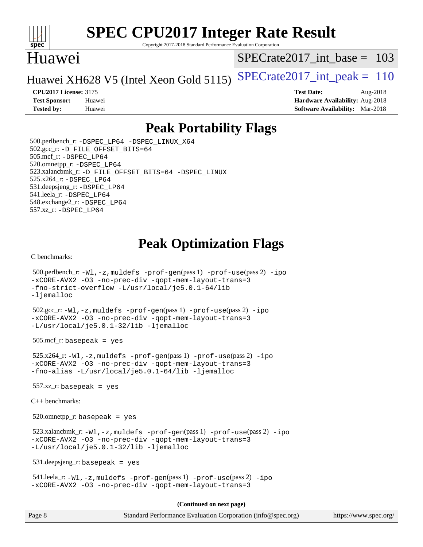

Copyright 2017-2018 Standard Performance Evaluation Corporation

# Huawei

[SPECrate2017\\_int\\_base =](http://www.spec.org/auto/cpu2017/Docs/result-fields.html#SPECrate2017intbase) 103

Huawei XH628 V5 (Intel Xeon Gold 5115) SPECrate  $2017$  int peak = 110

**[Tested by:](http://www.spec.org/auto/cpu2017/Docs/result-fields.html#Testedby)** Huawei **[Software Availability:](http://www.spec.org/auto/cpu2017/Docs/result-fields.html#SoftwareAvailability)** Mar-2018

**[CPU2017 License:](http://www.spec.org/auto/cpu2017/Docs/result-fields.html#CPU2017License)** 3175 **[Test Date:](http://www.spec.org/auto/cpu2017/Docs/result-fields.html#TestDate)** Aug-2018 **[Test Sponsor:](http://www.spec.org/auto/cpu2017/Docs/result-fields.html#TestSponsor)** Huawei **[Hardware Availability:](http://www.spec.org/auto/cpu2017/Docs/result-fields.html#HardwareAvailability)** Aug-2018

# **[Peak Portability Flags](http://www.spec.org/auto/cpu2017/Docs/result-fields.html#PeakPortabilityFlags)**

 500.perlbench\_r: [-DSPEC\\_LP64](http://www.spec.org/cpu2017/results/res2018q4/cpu2017-20181008-09099.flags.html#b500.perlbench_r_peakPORTABILITY_DSPEC_LP64) [-DSPEC\\_LINUX\\_X64](http://www.spec.org/cpu2017/results/res2018q4/cpu2017-20181008-09099.flags.html#b500.perlbench_r_peakCPORTABILITY_DSPEC_LINUX_X64) 502.gcc\_r: [-D\\_FILE\\_OFFSET\\_BITS=64](http://www.spec.org/cpu2017/results/res2018q4/cpu2017-20181008-09099.flags.html#user_peakPORTABILITY502_gcc_r_file_offset_bits_64_5ae949a99b284ddf4e95728d47cb0843d81b2eb0e18bdfe74bbf0f61d0b064f4bda2f10ea5eb90e1dcab0e84dbc592acfc5018bc955c18609f94ddb8d550002c) 505.mcf\_r: [-DSPEC\\_LP64](http://www.spec.org/cpu2017/results/res2018q4/cpu2017-20181008-09099.flags.html#suite_peakPORTABILITY505_mcf_r_DSPEC_LP64) 520.omnetpp\_r: [-DSPEC\\_LP64](http://www.spec.org/cpu2017/results/res2018q4/cpu2017-20181008-09099.flags.html#suite_peakPORTABILITY520_omnetpp_r_DSPEC_LP64) 523.xalancbmk\_r: [-D\\_FILE\\_OFFSET\\_BITS=64](http://www.spec.org/cpu2017/results/res2018q4/cpu2017-20181008-09099.flags.html#user_peakPORTABILITY523_xalancbmk_r_file_offset_bits_64_5ae949a99b284ddf4e95728d47cb0843d81b2eb0e18bdfe74bbf0f61d0b064f4bda2f10ea5eb90e1dcab0e84dbc592acfc5018bc955c18609f94ddb8d550002c) [-DSPEC\\_LINUX](http://www.spec.org/cpu2017/results/res2018q4/cpu2017-20181008-09099.flags.html#b523.xalancbmk_r_peakCXXPORTABILITY_DSPEC_LINUX) 525.x264\_r: [-DSPEC\\_LP64](http://www.spec.org/cpu2017/results/res2018q4/cpu2017-20181008-09099.flags.html#suite_peakPORTABILITY525_x264_r_DSPEC_LP64) 531.deepsjeng\_r: [-DSPEC\\_LP64](http://www.spec.org/cpu2017/results/res2018q4/cpu2017-20181008-09099.flags.html#suite_peakPORTABILITY531_deepsjeng_r_DSPEC_LP64) 541.leela\_r: [-DSPEC\\_LP64](http://www.spec.org/cpu2017/results/res2018q4/cpu2017-20181008-09099.flags.html#suite_peakPORTABILITY541_leela_r_DSPEC_LP64) 548.exchange2\_r: [-DSPEC\\_LP64](http://www.spec.org/cpu2017/results/res2018q4/cpu2017-20181008-09099.flags.html#suite_peakPORTABILITY548_exchange2_r_DSPEC_LP64) 557.xz\_r: [-DSPEC\\_LP64](http://www.spec.org/cpu2017/results/res2018q4/cpu2017-20181008-09099.flags.html#suite_peakPORTABILITY557_xz_r_DSPEC_LP64)

# **[Peak Optimization Flags](http://www.spec.org/auto/cpu2017/Docs/result-fields.html#PeakOptimizationFlags)**

[C benchmarks](http://www.spec.org/auto/cpu2017/Docs/result-fields.html#Cbenchmarks):

```
 500.perlbench_r: -Wl,-z,muldefs -prof-gen(pass 1) -prof-use(pass 2) -ipo
-xCORE-AVX2 -O3 -no-prec-div -qopt-mem-layout-trans=3
-fno-strict-overflow -L/usr/local/je5.0.1-64/lib
-ljemalloc
 502.gcc_r: -Wl,-z,muldefs -prof-gen(pass 1) -prof-use(pass 2) -ipo
-xCORE-AVX2 -O3 -no-prec-div -qopt-mem-layout-trans=3
-L/usr/local/je5.0.1-32/lib -ljemalloc
505.\text{mcf}_r: basepeak = yes
 525.x264_r: -Wl,-z,muldefs -prof-gen(pass 1) -prof-use(pass 2) -ipo
-xCORE-AVX2 -O3 -no-prec-div -qopt-mem-layout-trans=3
-fno-alias -L/usr/local/je5.0.1-64/lib -ljemalloc
557.xz r: basepeak = yes
C++ benchmarks: 
 520.omnetpp_r: basepeak = yes
 523.xalancbmk_r: -Wl,-z,muldefs -prof-gen(pass 1) -prof-use(pass 2) -ipo
-xCORE-AVX2 -O3 -no-prec-div -qopt-mem-layout-trans=3
-L/usr/local/je5.0.1-32/lib -ljemalloc
 531.deepsjeng_r: basepeak = yes
 541.leela_r: -Wl,-z,muldefs -prof-gen(pass 1) -prof-use(pass 2) -ipo
-xCORE-AVX2 -O3 -no-prec-div -qopt-mem-layout-trans=3
                                       (Continued on next page)
```
Page 8 Standard Performance Evaluation Corporation [\(info@spec.org\)](mailto:info@spec.org) <https://www.spec.org/>